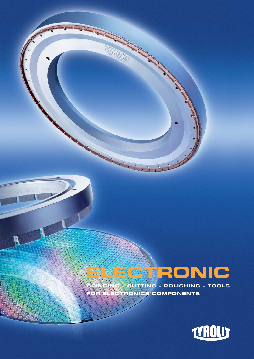## **GRINDING – CUTTING – POLISHING – TOOLS FOR ELECTRONICS-COMPONENTS ELECTRONIC**

inici

TEXTRONOM

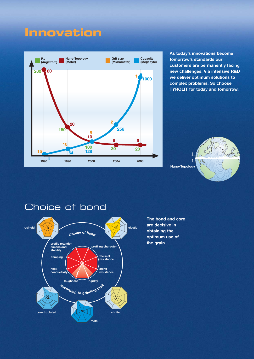## **Innovation**



**As today's innovations become tomorrow's standards our customers are permanently facing new challenges. Via intensive R&D we deliver optimum solutions to complex problems. So choose TYROLIT for today and tomorrow.**





#### Choice of bond



**The bond and core are decisive in obtaining the optimum use of the grain.**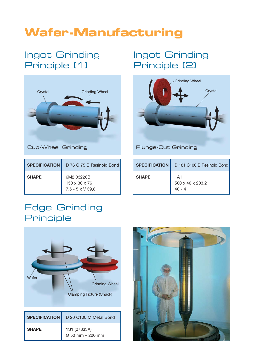# **Wafer-Manufacturing**

## Ingot Grinding Principle (1)



| <b>SPECIFICATION</b> | D 76 C 75 B Resinoid Bond                                          |
|----------------------|--------------------------------------------------------------------|
| <b>SHAPE</b>         | 6M2 03226B<br>$150 \times 30 \times 76$<br>$7,5 - 5 \times V$ 39,8 |

## Ingot Grinding Principle (2)



Plunge-Cut Grinding

| <b>SPECIFICATION</b> | D 181 C100 B Resinoid Bond                      |
|----------------------|-------------------------------------------------|
| <b>SHAPE</b>         | 1A1<br>$500 \times 40 \times 203,2$<br>$40 - 4$ |

#### Edge Grinding Principle



|              | <b>SPECIFICATION</b>   D 20 C100 M Metal Bond |
|--------------|-----------------------------------------------|
| <b>SHAPE</b> | 1S1 (07833A)<br>$\varnothing$ 50 mm - 200 mm  |

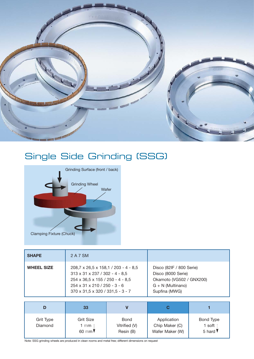

## Single Side Grinding (SSG)



| <b>SHAPE</b>      | 2 A 7 SM                                                                                                                                                                                                           |                                                                                                                    |
|-------------------|--------------------------------------------------------------------------------------------------------------------------------------------------------------------------------------------------------------------|--------------------------------------------------------------------------------------------------------------------|
| <b>WHEEL SIZE</b> | $208,7 \times 26,5 \times 158,1 / 203 - 4 - 8,5$<br>$313 \times 31 \times 237 / 302 - 4 - 8,5$<br>254 x 36,5 x 155 / 250 - 4 - 8,5<br>$254 \times 31 \times 210 / 250 - 3 - 6$<br>370 x 31,5 x 320 / 331,5 - 3 - 7 | Disco (82IF / 800 Serie)<br>Disco (8000 Serie)<br>Okamoto (VG502 / GNX200)<br>$G + N$ (Multinano)<br>Supfina (MWG) |

|                      | 33                                              |                                           |                                                  |                                             |
|----------------------|-------------------------------------------------|-------------------------------------------|--------------------------------------------------|---------------------------------------------|
| Grit Type<br>Diamond | <b>Grit Size</b><br>1 m <b>m</b> :<br>60 mm $V$ | <b>Bond</b><br>Vitrified (V)<br>Resin (B) | Application<br>Chip Maker (C)<br>Wafer Maker (W) | Bond Type<br>1 soft $\frac{1}{2}$<br>5 hard |

Note: SSG grinding wheels are produced in clean rooms and metal free; different dimensions on request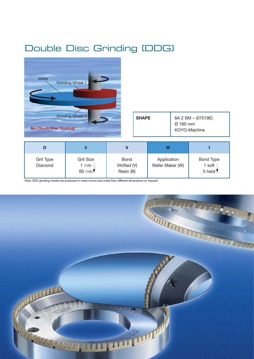#### Double Disc Grinding (DDG)



Note: SSG grinding wheels are produced in clean rooms and metal free; different dimensions on request

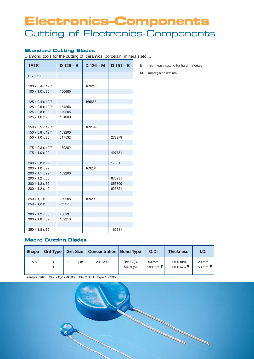## Cutting of Electronics-Components **Electronics–Components**

#### **Standard Cutting Blades**

Diamond tools for the cutting of: ceramics, porcelain, minerals etc ...

| <b>1A1R</b>                                                      | $D$ 126 – B                | $D$ 126 – M | $D$ 151 – B      | B  |
|------------------------------------------------------------------|----------------------------|-------------|------------------|----|
| $D \times T \times H$                                            |                            |             |                  | Μ. |
| $100 \times 0.4 \times 12.7$<br>100 x 1,0 x 20                   | 100660                     | 169213      |                  |    |
| 125 x 0,4 x 12,7                                                 |                            | 165653      |                  |    |
| 125 x 0.5 x 12.7<br>$125 \times 0.8 \times 20$<br>125 x 1,0 x 20 | 164256<br>149205<br>101000 |             |                  |    |
| 150 x 0,5 x 12,7                                                 |                            | 169199      |                  |    |
| 150 x 0,8 x 12,7<br>$150 \times 1.0 \times 20$                   | 169200<br>317532           |             | 278979           |    |
| 175 x 0,8 x 12,7<br>175 x 1,0 x 22                               | 169202                     |             | 497731           |    |
| 200 x 0,8 x 22                                                   |                            |             | 17881            |    |
| 200 x 1,0 x 22<br>200 x 1,1 x 22                                 | 169206                     | 169204      |                  |    |
| 200 x 1,2 x 30<br>200 x 1,2 x 32                                 |                            |             | 876231<br>853809 |    |
| 200 x 1,2 x 40<br>250 x 1,1 x 32                                 | 169208                     | 169209      | 625721           |    |
| 250 x 1,2 x 30                                                   | 26227                      |             |                  |    |
| $300 \times 1,2 \times 30$<br>300 x 1,8 x 32                     | 48013<br>169210            |             |                  |    |
| 350 x 1,8 x 32                                                   |                            |             | 169211           |    |

**Macro Cutting Blades**

| <b>Shape</b> |        |                 | Grit Type   Grit Size   Concentration   Bond Type |                       | <b>O.D.</b>                          | <b>Thickness</b>                   | I.D.                                        |
|--------------|--------|-----------------|---------------------------------------------------|-----------------------|--------------------------------------|------------------------------------|---------------------------------------------|
| 1A8          | D<br>В | $2 - 100 \mu m$ | $20 - 200$                                        | Res B(B)<br>Metal (M) | 50 mm<br>100 mm $\blacktriangledown$ | $0,100 \text{ mm}$ :<br>$0.400$ mm | 20 mm $\frac{1}{2}$<br>50 mm $\blacksquare$ |

Example: 1A8 76,2 x 0,2 x 40,05 D34C100B Type 186395



.. (resin) easy cutting for hard materials

... (metal) high lifetime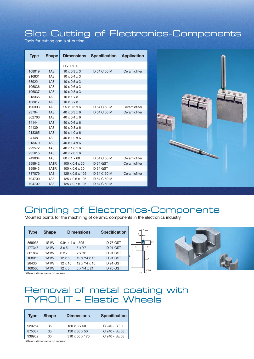#### Slot Cutting of Electronics-Components

Tools for cutting and slot-cutting

| <b>Type</b> | <b>Shape</b>      | <b>Dimensions</b>          | <b>Specification</b> | <b>Application</b> |
|-------------|-------------------|----------------------------|----------------------|--------------------|
|             |                   | $D \times Tx$ H            |                      |                    |
| 108019      | 1A8               | $10 \times 0.3 \times 3$   | D 64 C 50 M          | Ceramicfilter      |
| 916831      | <b>1A8</b>        | $10 \times 0.4 \times 3$   |                      |                    |
| 68922       | 1A8               | $10 \times 0.5 \times 3$   |                      |                    |
| 106836      | <b>1A8</b>        | $10 \times 0.6 \times 3$   |                      |                    |
| 106837      | 1A8               | $10 \times 0.8 \times 3$   |                      |                    |
| 913365      | <b>1A8</b>        | $10 \times 1 \times 3$     |                      |                    |
| 108017      | 1A8               | $10 \times 3 \times 3$     |                      |                    |
| 190303      | <b>1A8</b>        | $25 \times 0.5 \times 6$   | D 64 C 50 M          | Ceramicfilter      |
| 23794       | 1A8               | $40 \times 0.3 \times 6$   | D 64 C 50 M          | Ceramicfilter      |
| 802766      | <b>1A8</b>        | $40 \times 0.4 \times 6$   |                      |                    |
| 34144       | 1A8               | $40 \times 0.6 \times 6$   |                      |                    |
| 94139       | <b>1A8</b>        | $40 \times 0.8 \times 6$   |                      |                    |
| 913365      | 1A8               | $40 \times 1.0 \times 6$   |                      |                    |
| 94148       | <b>1A8</b>        | $40 \times 1.2 \times 6$   |                      |                    |
| 913370      | 1A8               | $40 \times 1.4 \times 6$   |                      |                    |
| 923572      | <b>1A8</b>        | $40 \times 1.6 \times 6$   |                      |                    |
| 935615      | 1A8               | $40 \times 2.0 \times 6$   |                      |                    |
| 749004      | <b>1A8</b>        | 80 x 1 x 60                | D 64 C 50 M          | Ceramicfilter      |
| 859942      | <b>1A1R</b>       | $100 \times 0.4 \times 20$ | <b>D 64 GST</b>      | Ceramicfilter      |
| 859943      | 1A <sub>1</sub> R | $100 \times 0.6 \times 20$ | <b>D 64 GST</b>      |                    |
| 787079      | 1A8               | 125 x 0,5 x 105            | D 64 C 50 M          | Ceramicfilter      |
| 794700      | <b>1A8</b>        | 125 x 0.6 x 105            | D 64 C 50 M          |                    |
| 794702      | 1A8               | 125 x 0,7 x 105            | D 64 C 50 M          |                    |



#### Grinding of Electronics-Components

L2

Y h6

Mounted points for the machining of ceramic components in the electronics industry

| <b>Type</b> | <b>Shape</b>      | <b>Dimensions</b>            |                          | <b>Specification</b> |    | $\mathsf{x}$          |
|-------------|-------------------|------------------------------|--------------------------|----------------------|----|-----------------------|
| 869935      | <b>1S1W</b>       | $0.94 \times 4 \times 1.595$ |                          | <b>D 76 GST</b>      |    |                       |
| 477346      | 1A <sub>1</sub> W | $3 \times 5$                 | 5 x Y7                   | D 91 GST             |    | $\mathsf{L}$ Y1<br>L3 |
| 861867      | 1A1W              | 6x7                          | 7 x Y6                   | D 91 GST             |    |                       |
| 108016      | 1A1W              | $12 \times 5$                | $12 \times Y4 \times 16$ | D 91 GST             | L1 | - A                   |
| 28430       | 1A1W              | $12 \times 10$               | $12 \times Y4 \times 16$ | D 91 GST             |    |                       |
| 169506      | 1A1W              | $12 \times 5$                | 5 x Y4 x 21              | <b>D 76 GST</b>      |    | V <sub>h</sub>        |



Different dimensions on request!

#### Removal of metal coating with TYROLIT – Elastic Wheels

| <b>Type</b> | <b>Shape</b> | <b>Dimensions</b>          | <b>Specification</b> |
|-------------|--------------|----------------------------|----------------------|
| 920254      | 35           | $130 \times 8 \times 50$   | $C.240 - BF.03$      |
| 875087      | 35           | $130 \times 30 \times 50$  | C 240 - BE 03        |
| 938962      | 35           | $310 \times 50 \times 170$ | C 240 - BE 03        |

Different dimensions on request!